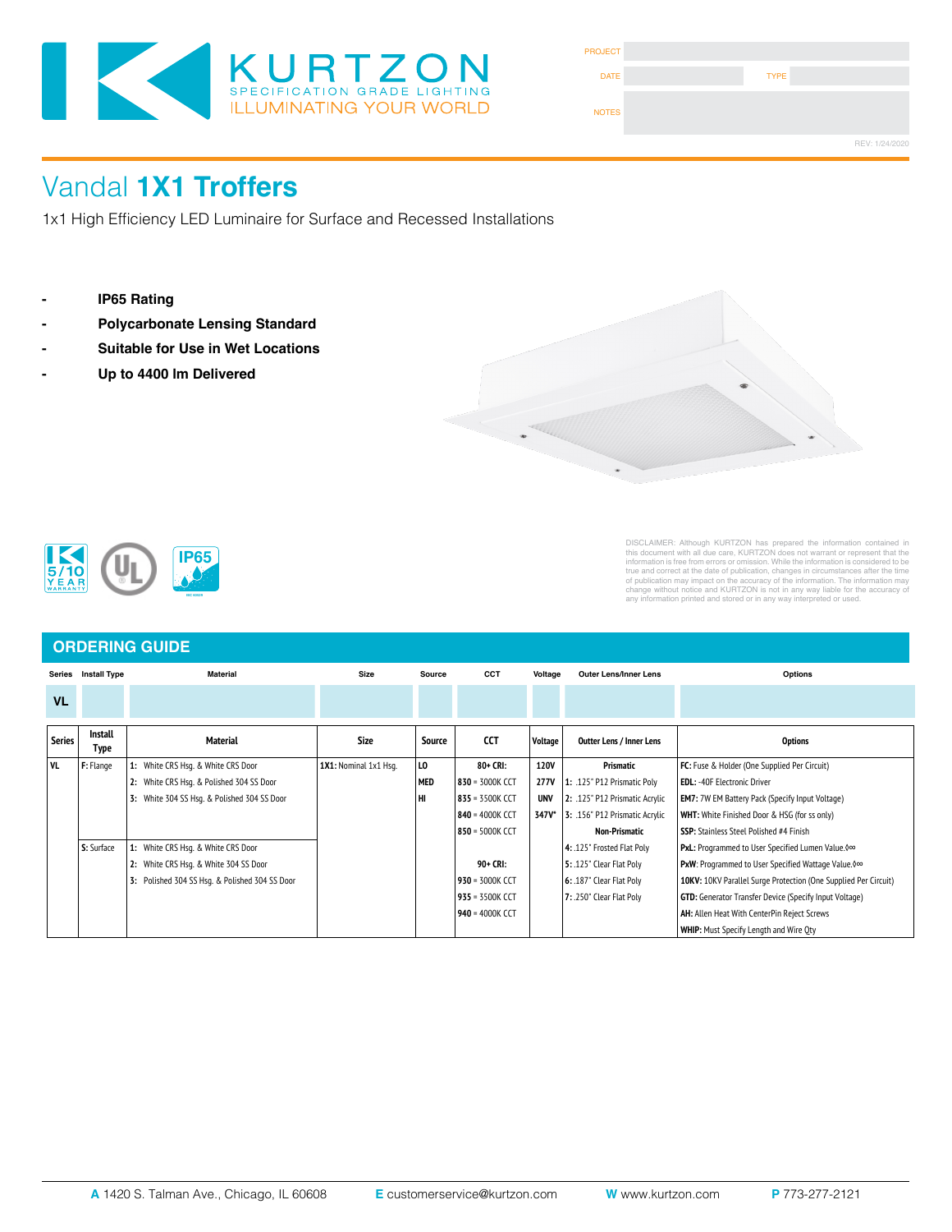

| <b>PROJECT</b> |             |                |
|----------------|-------------|----------------|
| <b>DATE</b>    | <b>TYPE</b> |                |
| <b>NOTES</b>   |             |                |
|                |             | REV: 1/24/2020 |

# Vandal 1X1 Troffers

1x1 High Efficiency LED Luminaire for Surface and Recessed Installations

- 
- **LENS**: High durability on this durability .135 thick virgin across the P12 principal RTV silicone. See Thick virgin  $\mathbb{R}$  and  $\mathbb{R}$  and  $\mathbb{R}$  for other choices. See Thick virgin  $\mathbb{R}$  and  $\mathbb{R}$  for other ch
- **Exaga Find Suitable for Use in Wet Locations**
- **REFLECTOR**: Die formed metal with high reflectance white polyester powder coat finish. Typical reflectivity 92%.





DISCLAIMER: Altihough KURTZON has prepared the information contained in<br>this document with all due care, KURTZON does not warrant or represent that the<br>information is free from errors or omission. While the information is

### **ORDERING GUIDE**

| <b>Series</b> | <b>Install Type</b>    | <b>Material</b>                                | <b>Size</b><br>Source |            | CCT               | Voltage<br><b>Outer Lens/Inner Lens</b> |                                             | Options                                                         |  |
|---------------|------------------------|------------------------------------------------|-----------------------|------------|-------------------|-----------------------------------------|---------------------------------------------|-----------------------------------------------------------------|--|
| <b>VL</b>     |                        |                                                |                       |            |                   |                                         |                                             |                                                                 |  |
| <b>Series</b> | <b>Install</b><br>Type | <b>Material</b>                                | <b>Size</b>           | Source     | CCT               | Voltage                                 | <b>Outter Lens / Inner Lens</b>             | <b>Options</b>                                                  |  |
| l vl          | F: Flange              | White CRS Hsq. & White CRS Door<br>1:          | 1X1: Nominal 1x1 Hsq. | l LO       | 80+ CRI:          | <b>120V</b>                             | Prismatic                                   | FC: Fuse & Holder (One Supplied Per Circuit)                    |  |
|               |                        | 2: White CRS Hsq. & Polished 304 SS Door       |                       | <b>MED</b> | 830 = 3000K CCT   | 277V                                    | 1: .125" P12 Prismatic Poly                 | <b>EDL: -40F Electronic Driver</b>                              |  |
|               |                        | White 304 SS Hsq. & Polished 304 SS Door<br>3: |                       | lнı        | 835 = 3500K CCT   | <b>UNV</b>                              | 2: .125" P12 Prismatic Acrylic              | <b>EM7:</b> 7W EM Battery Pack (Specify Input Voltage)          |  |
|               |                        |                                                |                       |            | 840 = 4000K CCT   |                                         | <b>347V*</b> 3: .156" P12 Prismatic Acrylic | <b>WHT:</b> White Finished Door & HSG (for ss only)             |  |
|               |                        |                                                |                       |            | 850 = 5000K CCT   |                                         | Non-Prismatic                               | <b>SSP:</b> Stainless Steel Polished #4 Finish                  |  |
|               | S: Surface             | White CRS Hsq. & White CRS Door                |                       |            |                   |                                         | 4: .125" Frosted Flat Poly                  | <b>PxL:</b> Programmed to User Specified Lumen Value. 000       |  |
|               |                        | White CRS Hsq. & White 304 SS Door<br>2:       |                       |            | 90+ CRI:          |                                         | 5: .125" Clear Flat Poly                    | <b>PxW</b> : Programmed to User Specified Wattage Value. 0∞     |  |
|               |                        | 3: Polished 304 SS Hsq. & Polished 304 SS Door |                       |            | $930 = 3000K$ CCT |                                         | 6: .187" Clear Flat Poly                    | 10KV: 10KV Parallel Surge Protection (One Supplied Per Circuit) |  |
|               |                        |                                                |                       |            | $935 = 3500K$ CCT |                                         | 7: .250" Clear Flat Poly                    | <b>GTD:</b> Generator Transfer Device (Specify Input Voltage)   |  |
|               |                        |                                                |                       |            | 940 = 4000K CCT   |                                         |                                             | <b>AH:</b> Allen Heat With CenterPin Reject Screws              |  |
|               |                        |                                                |                       |            |                   |                                         |                                             | <b>WHIP:</b> Must Specify Length and Wire Oty                   |  |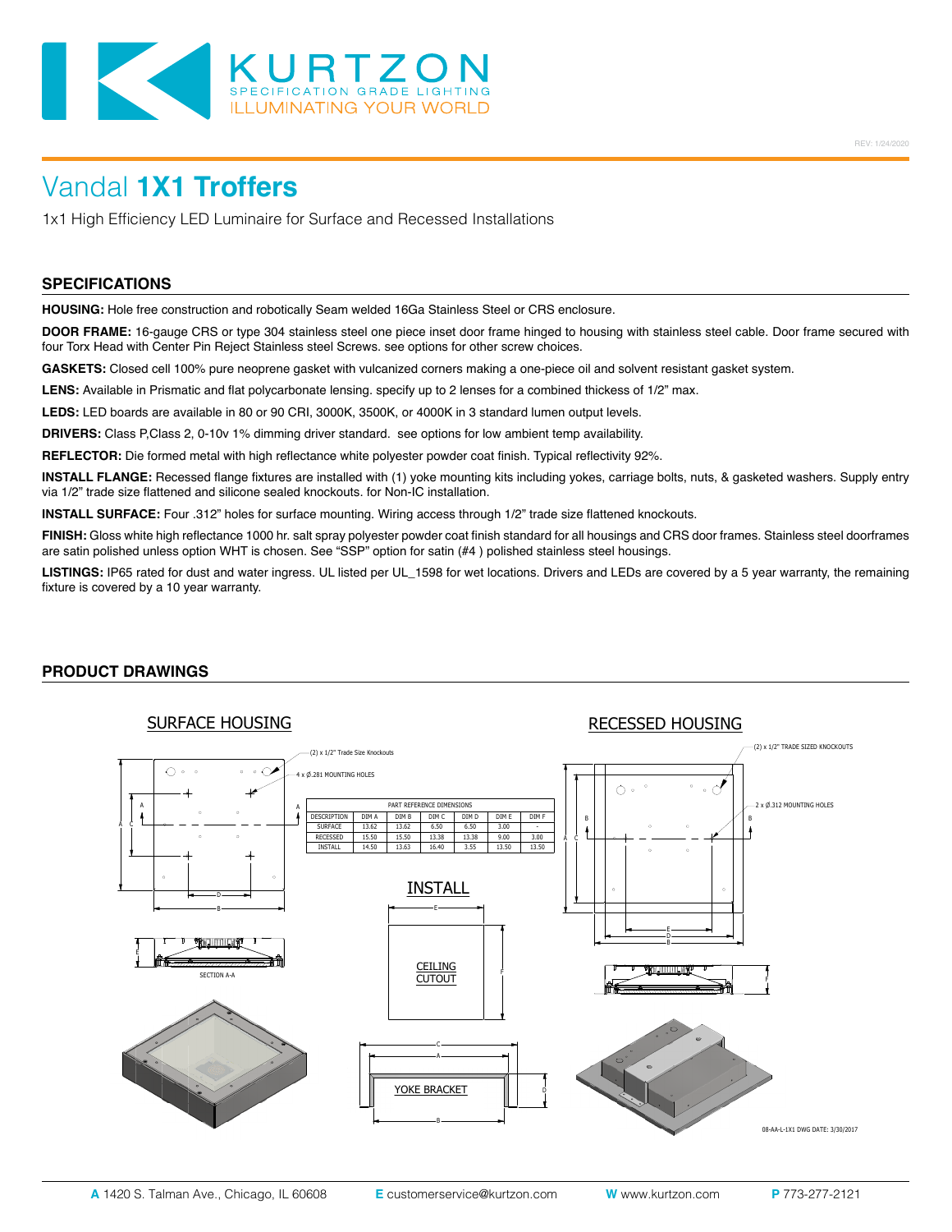

# Vandal **1X1 Troffers**

1x1 High Efficiency LED Luminaire for Surface and Recessed Installations

#### **SPECIFICATIONS**

**HOUSING:** Hole free construction and robotically Seam welded 16Ga Stainless Steel or CRS enclosure.

**DOOR FRAME:** 16-gauge CRS or type 304 stainless steel one piece inset door frame hinged to housing with stainless steel cable. Door frame secured with four Torx Head with Center Pin Reject Stainless steel Screws. see options for other screw choices.

**GASKETS:** Closed cell 100% pure neoprene gasket with vulcanized corners making a one-piece oil and solvent resistant gasket system.

LENS: Available in Prismatic and flat polycarbonate lensing. specify up to 2 lenses for a combined thickess of 1/2" max.

**LEDS:** LED boards are available in 80 or 90 CRI, 3000K, 3500K, or 4000K in 3 standard lumen output levels.

**DRIVERS:** Class P,Class 2, 0-10v 1% dimming driver standard. see options for low ambient temp availability.

**REFLECTOR:** Die formed metal with high reflectance white polyester powder coat finish. Typical reflectivity 92%.

**INSTALL FLANGE:** Recessed flange fixtures are installed with (1) yoke mounting kits including yokes, carriage bolts, nuts, & gasketed washers. Supply entry via 1/2" trade size flattened and silicone sealed knockouts. for Non-IC installation.

**INSTALL SURFACE:** Four .312" holes for surface mounting. Wiring access through 1/2" trade size flattened knockouts.

**FINISH:** Gloss white high reflectance 1000 hr. salt spray polyester powder coat finish standard for all housings and CRS door frames. Stainless steel doorframes are satin polished unless option WHT is chosen. See "SSP" option for satin (#4 ) polished stainless steel housings.

**LISTINGS:** IP65 rated for dust and water ingress. UL listed per UL\_1598 for wet locations. Drivers and LEDs are covered by a 5 year warranty, the remaining fixture is covered by a 10 year warranty.

#### **PRODUCT DRAWINGS**